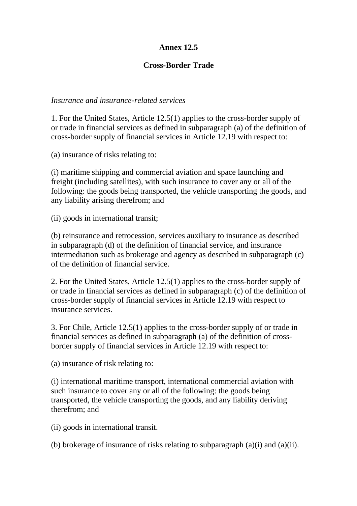## **Annex 12.5**

## **Cross-Border Trade**

## *Insurance and insurance-related services*

1. For the United States, Article 12.5(1) applies to the cross-border supply of or trade in financial services as defined in subparagraph (a) of the definition of cross-border supply of financial services in Article 12.19 with respect to:

(a) insurance of risks relating to:

(i) maritime shipping and commercial aviation and space launching and freight (including satellites), with such insurance to cover any or all of the following: the goods being transported, the vehicle transporting the goods, and any liability arising therefrom; and

(ii) goods in international transit;

(b) reinsurance and retrocession, services auxiliary to insurance as described in subparagraph (d) of the definition of financial service, and insurance intermediation such as brokerage and agency as described in subparagraph (c) of the definition of financial service.

2. For the United States, Article 12.5(1) applies to the cross-border supply of or trade in financial services as defined in subparagraph (c) of the definition of cross-border supply of financial services in Article 12.19 with respect to insurance services.

3. For Chile, Article 12.5(1) applies to the cross-border supply of or trade in financial services as defined in subparagraph (a) of the definition of crossborder supply of financial services in Article 12.19 with respect to:

(a) insurance of risk relating to:

(i) international maritime transport, international commercial aviation with such insurance to cover any or all of the following: the goods being transported, the vehicle transporting the goods, and any liability deriving therefrom; and

(ii) goods in international transit.

(b) brokerage of insurance of risks relating to subparagraph (a)(i) and (a)(ii).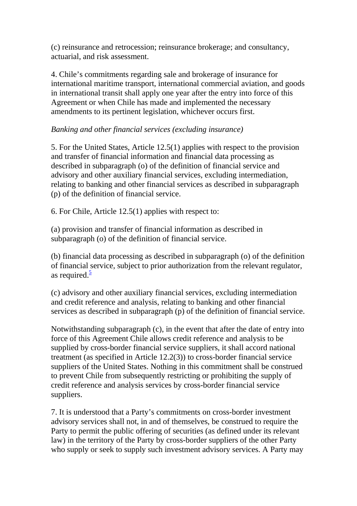(c) reinsurance and retrocession; reinsurance brokerage; and consultancy, actuarial, and risk assessment.

4. Chile's commitments regarding sale and brokerage of insurance for international maritime transport, international commercial aviation, and goods in international transit shall apply one year after the entry into force of this Agreement or when Chile has made and implemented the necessary amendments to its pertinent legislation, whichever occurs first.

## *Banking and other financial services (excluding insurance)*

5. For the United States, Article 12.5(1) applies with respect to the provision and transfer of financial information and financial data processing as described in subparagraph (o) of the definition of financial service and advisory and other auxiliary financial services, excluding intermediation, relating to banking and other financial services as described in subparagraph (p) of the definition of financial service.

6. For Chile, Article 12.5(1) applies with respect to:

(a) provision and transfer of financial information as described in subparagraph (o) of the definition of financial service.

(b) financial data processing as described in subparagraph (o) of the definition of financial service, subject to prior authorization from the relevant regulator, as required.<sup>5</sup>

(c) advisory and other auxiliary financial services, excluding intermediation and credit reference and analysis, relating to banking and other financial services as described in subparagraph (p) of the definition of financial service.

Notwithstanding subparagraph (c), in the event that after the date of entry into force of this Agreement Chile allows credit reference and analysis to be supplied by cross-border financial service suppliers, it shall accord national treatment (as specified in Article 12.2(3)) to cross-border financial service suppliers of the United States. Nothing in this commitment shall be construed to prevent Chile from subsequently restricting or prohibiting the supply of credit reference and analysis services by cross-border financial service suppliers.

7. It is understood that a Party's commitments on cross-border investment advisory services shall not, in and of themselves, be construed to require the Party to permit the public offering of securities (as defined under its relevant law) in the territory of the Party by cross-border suppliers of the other Party who supply or seek to supply such investment advisory services. A Party may